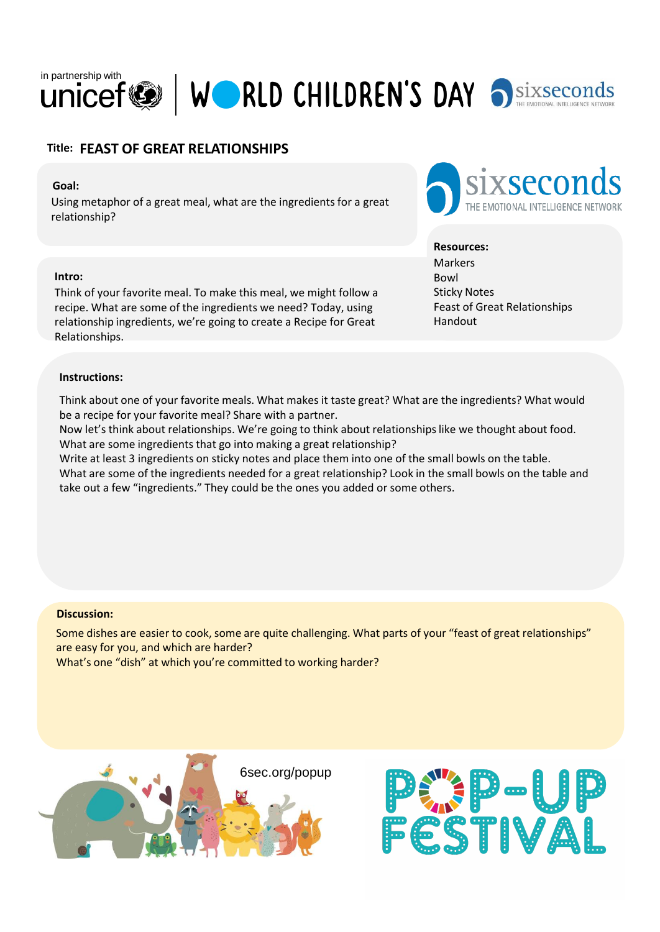

# **Title: FEAST OF GREAT RELATIONSHIPS**

## **Goal:**

Using metaphor of a great meal, what are the ingredients for a great relationship?

### **Intro:**

Think of your favorite meal. To make this meal, we might follow a recipe. What are some of the ingredients we need? Today, using relationship ingredients, we're going to create a Recipe for Great Relationships.

### **Instructions:**

Think about one of your favorite meals. What makes it taste great? What are the ingredients? What would be a recipe for your favorite meal? Share with a partner.

Now let's think about relationships. We're going to think about relationships like we thought about food. What are some ingredients that go into making a great relationship?

Write at least 3 ingredients on sticky notes and place them into one of the small bowls on the table. What are some of the ingredients needed for a great relationship? Look in the small bowls on the table and take out a few "ingredients." They could be the ones you added or some others.

#### **Discussion:**

Some dishes are easier to cook, some are quite challenging. What parts of your "feast of great relationships" are easy for you, and which are harder?

What's one "dish" at which you're committed to working harder?







## **Resources:**

**Markers** Bowl Sticky Notes Feast of Great Relationships Handout